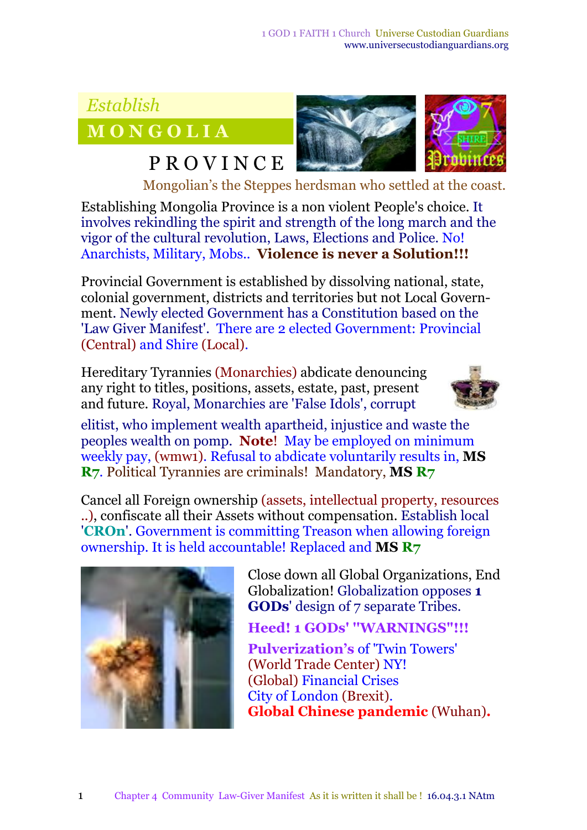## *Establish*

**M O N G O L I A**

## **P R O V I N C E**



Mongolian's the Steppes herdsman who settled at the coast.

Establishing Mongolia Province is a non violent People's choice. It involves rekindling the spirit and strength of the long march and the vigor of the cultural revolution, Laws, Elections and Police*.* No! Anarchists, Military, Mobs.. **Violence is never a Solution!!!**

Provincial Government is established by dissolving national, state, colonial government, districts and territories but not Local Government. Newly elected Government has a Constitution based on the 'Law Giver Manifest'. There are 2 elected Government: Provincial (Central) and Shire (Local).

Hereditary Tyrannies (Monarchies) abdicate denouncing any right to titles, positions, assets, estate, past, present and future. Royal, Monarchies are 'False Idols', corrupt



elitist, who implement wealth apartheid, injustice and waste the peoples wealth on pomp. **Note**! May be employed on minimum weekly pay, (wmw1). Refusal to abdicate voluntarily results in, **MS R7***.* Political Tyrannies are criminals! Mandatory, **MS R7**

Cancel all Foreign ownership (assets, intellectual property, resources ..), confiscate all their Assets without compensation. Establish local '**CROn**'. Government is committing Treason when allowing foreign ownership. It is held accountable! Replaced and **MS R7**



Close down all Global Organizations, End Globalization! Globalization opposes **1 GODs**' design of 7 separate Tribes.

**Heed! 1 GODs' ''WARNINGS"!!!**

**Pulverization's** of 'Twin Towers' (World Trade Center) NY! (Global) Financial Crises City of London (Brexit). **Global Chinese pandemic** (Wuhan)**.**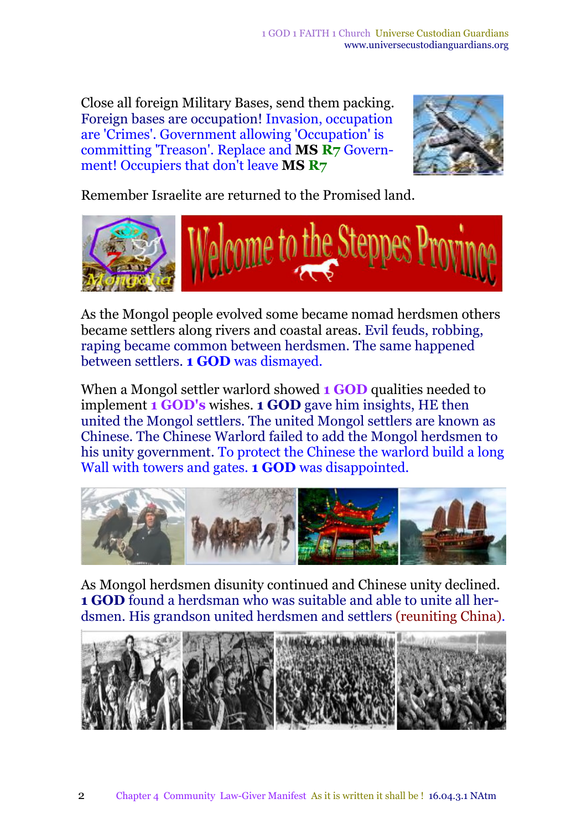Close all foreign Military Bases, send them packing. Foreign bases are occupation! Invasion, occupation are 'Crimes'. Government allowing 'Occupation' is committing 'Treason'. Replace and **MS R7** Government! Occupiers that don't leave **MS R7**



Remember Israelite are returned to the Promised land.



As the Mongol people evolved some became nomad herdsmen others became settlers along rivers and coastal areas. Evil feuds, robbing, raping became common between herdsmen. The same happened between settlers. **1 GOD** was dismayed.

When a Mongol settler warlord showed **1 GOD** qualities needed to implement **1 GOD's** wishes. **1 GOD** gave him insights, HE then united the Mongol settlers. The united Mongol settlers are known as Chinese. The Chinese Warlord failed to add the Mongol herdsmen to his unity government. To protect the Chinese the warlord build a long Wall with towers and gates. **1 GOD** was disappointed.



As Mongol herdsmen disunity continued and Chinese unity declined. **1 GOD** found a herdsman who was suitable and able to unite all herdsmen. His grandson united herdsmen and settlers (reuniting China).